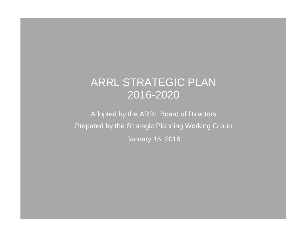# ARRL STRATEGIC PLAN 2016-2020

Adopted by the ARRL Board of Directors Prepared by the Strategic Planning Working Group January 15, 2016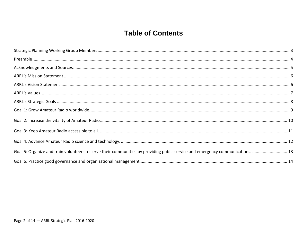# **Table of Contents**

| Goal 5: Organize and train volunteers to serve their communities by providing public service and emergency communications.  13 |  |
|--------------------------------------------------------------------------------------------------------------------------------|--|
|                                                                                                                                |  |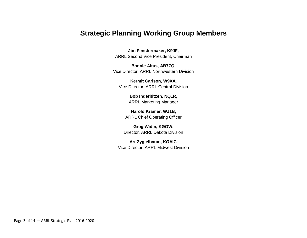### **Strategic Planning Working Group Members**

**Jim Fenstermaker, K9JF,** ARRL Second Vice President, Chairman

**Bonnie Altus, AB7ZQ,** Vice Director, ARRL Northwestern Division

**Kermit Carlson, W9XA,** Vice Director, ARRL Central Division

> **Bob Inderbitzen, NQ1R,** ARRL Marketing Manager

**Harold Kramer, WJ1B,** ARRL Chief Operating Officer

**Greg Widin, KØGW,**  Director, ARRL Dakota Division

**Art Zygielbaum, KØAIZ,** Vice Director, ARRL Midwest Division

Page 3 of 14 — ARRL Strategic Plan 2016-2020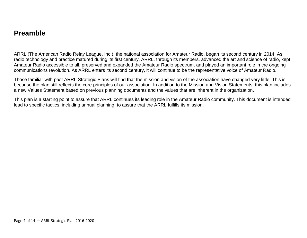### **Preamble**

ARRL (The American Radio Relay League, Inc.), the national association for Amateur Radio, began its second century in 2014. As radio technology and practice matured during its first century, ARRL, through its members, advanced the art and science of radio, kept Amateur Radio accessible to all, preserved and expanded the Amateur Radio spectrum, and played an important role in the ongoing communications revolution. As ARRL enters its second century, it will continue to be the representative voice of Amateur Radio.

Those familiar with past ARRL Strategic Plans will find that the mission and vision of the association have changed very little. This is because the plan still reflects the core principles of our association. In addition to the Mission and Vision Statements, this plan includes a new Values Statement based on previous planning documents and the values that are inherent in the organization.

This plan is a starting point to assure that ARRL continues its leading role in the Amateur Radio community. This document is intended lead to specific tactics, including annual planning, to assure that the ARRL fulfills its mission.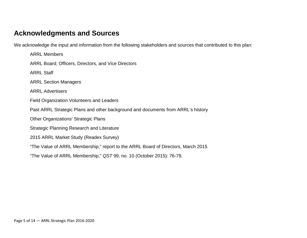### **Acknowledgments and Sources**

We acknowledge the input and information from the following stakeholders and sources that contributed to this plan:

ARRL Members ARRL Board; Officers, Directors, and Vice Directors ARRL Staff ARRL Section Managers ARRL Advertisers Field Organization Volunteers and Leaders Past ARRL Strategic Plans and other background and documents from ARRL's history Other Organizations' Strategic Plans Strategic Planning Research and Literature 2015 ARRL Market Study (Readex Survey) "The Value of ARRL Membership," report to the ARRL Board of Directors, March 2015 "The Value of ARRL Membership," *QST* 99, no. 10 (October 2015): 76-79.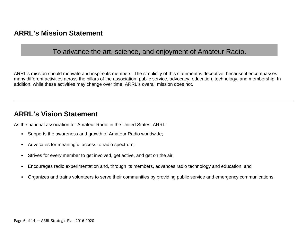### **ARRL's Mission Statement**

### To advance the art, science, and enjoyment of Amateur Radio.

ARRL's mission should motivate and inspire its members. The simplicity of this statement is deceptive, because it encompasses many different activities across the pillars of the association: public service, advocacy, education, technology, and membership. In addition, while these activities may change over time, ARRL's overall mission does not.

### **ARRL's Vision Statement**

As the national association for Amateur Radio in the United States, ARRL:

- Supports the awareness and growth of Amateur Radio worldwide;
- Advocates for meaningful access to radio spectrum;
- Strives for every member to get involved, get active, and get on the air;
- Encourages radio experimentation and, through its members, advances radio technology and education; and
- Organizes and trains volunteers to serve their communities by providing public service and emergency communications.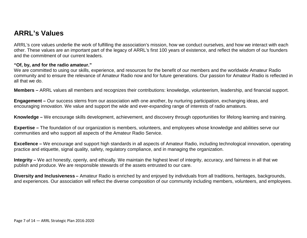# **ARRL's Values**

ARRL's core values underlie the work of fulfilling the association's mission, how we conduct ourselves, and how we interact with each other. These values are an important part of the legacy of ARRL's first 100 years of existence, and reflect the wisdom of our founders and the commitment of our current leaders.

#### **"Of, by, and for the radio amateur."**

We are committed to using our skills, experience, and resources for the benefit of our members and the worldwide Amateur Radio community and to ensure the relevance of Amateur Radio now and for future generations. Our passion for Amateur Radio is reflected in all that we do.

**Members –** ARRL values all members and recognizes their contributions: knowledge, volunteerism, leadership, and financial support.

**Engagement –** Our success stems from our association with one another, by nurturing participation, exchanging ideas, and encouraging innovation. We value and support the wide and ever-expanding range of interests of radio amateurs.

**Knowledge –** We encourage skills development, achievement, and discovery through opportunities for lifelong learning and training.

**Expertise –** The foundation of our organization is members, volunteers, and employees whose knowledge and abilities serve our communities and who support all aspects of the Amateur Radio Service.

**Excellence –** We encourage and support high standards in all aspects of Amateur Radio, including technological innovation, operating practice and etiquette, signal quality, safety, regulatory compliance, and in managing the organization.

**Integrity –** We act honestly, openly, and ethically. We maintain the highest level of integrity, accuracy, and fairness in all that we publish and produce. We are responsible stewards of the assets entrusted to our care.

**Diversity and Inclusiveness –** Amateur Radio is enriched by and enjoyed by individuals from all traditions, heritages, backgrounds, and experiences. Our association will reflect the diverse composition of our community including members, volunteers, and employees.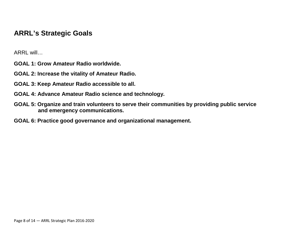# **ARRL's Strategic Goals**

ARRL will…

- **GOAL 1: Grow Amateur Radio worldwide.**
- **GOAL 2: Increase the vitality of Amateur Radio.**
- **GOAL 3: Keep Amateur Radio accessible to all.**
- **GOAL 4: Advance Amateur Radio science and technology.**
- **GOAL 5: Organize and train volunteers to serve their communities by providing public service and emergency communications.**
- **GOAL 6: Practice good governance and organizational management.**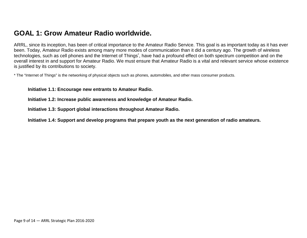# **GOAL 1: Grow Amateur Radio worldwide.**

ARRL, since its inception, has been of critical importance to the Amateur Radio Service. This goal is as important today as it has ever been. Today, Amateur Radio exists among many more modes of communication than it did a century ago. The growth of wireless technologies, such as cell phones and the Internet of Things<sup>\*</sup>, have had a profound effect on both spectrum competition and on the overall interest in and support for Amateur Radio. We must ensure that Amateur Radio is a vital and relevant service whose existence is justified by its contributions to society.

\* The "Internet of Things" is the networking of physical objects such as phones, automobiles, and other mass consumer products.

**Initiative 1.1: Encourage new entrants to Amateur Radio.** 

**Initiative 1.2: Increase public awareness and knowledge of Amateur Radio.**

**Initiative 1.3: Support global interactions throughout Amateur Radio.**

**Initiative 1.4: Support and develop programs that prepare youth as the next generation of radio amateurs.**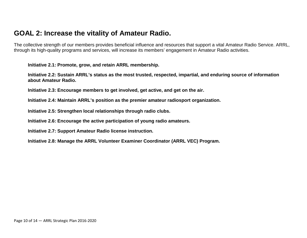# **GOAL 2: Increase the vitality of Amateur Radio.**

The collective strength of our members provides beneficial influence and resources that support a vital Amateur Radio Service. ARRL, through its high-quality programs and services, will increase its members' engagement in Amateur Radio activities.

**Initiative 2.1: Promote, grow, and retain ARRL membership.**

**Initiative 2.2: Sustain ARRL's status as the most trusted, respected, impartial, and enduring source of information about Amateur Radio.**

**Initiative 2.3: Encourage members to get involved, get active, and get on the air.**

**Initiative 2.4: Maintain ARRL's position as the premier amateur radiosport organization.**

**Initiative 2.5: Strengthen local relationships through radio clubs.**

**Initiative 2.6: Encourage the active participation of young radio amateurs.**

**Initiative 2.7: Support Amateur Radio license instruction.**

**Initiative 2.8: Manage the ARRL Volunteer Examiner Coordinator (ARRL VEC) Program.**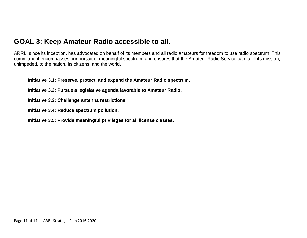### **GOAL 3: Keep Amateur Radio accessible to all.**

ARRL, since its inception, has advocated on behalf of its members and all radio amateurs for freedom to use radio spectrum. This commitment encompasses our pursuit of meaningful spectrum, and ensures that the Amateur Radio Service can fulfill its mission, unimpeded, to the nation, its citizens, and the world.

**Initiative 3.1: Preserve, protect, and expand the Amateur Radio spectrum.**

- **Initiative 3.2: Pursue a legislative agenda favorable to Amateur Radio.**
- **Initiative 3.3: Challenge antenna restrictions.**
- **Initiative 3.4: Reduce spectrum pollution.**
- **Initiative 3.5: Provide meaningful privileges for all license classes.**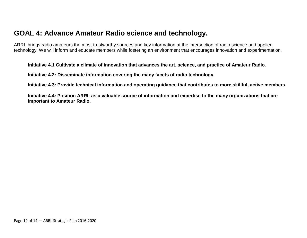# **GOAL 4: Advance Amateur Radio science and technology.**

ARRL brings radio amateurs the most trustworthy sources and key information at the intersection of radio science and applied technology. We will inform and educate members while fostering an environment that encourages innovation and experimentation.

**Initiative 4.1 Cultivate a climate of innovation that advances the art, science, and practice of Amateur Radio**.

**Initiative 4.2: Disseminate information covering the many facets of radio technology.**

**Initiative 4.3: Provide technical information and operating guidance that contributes to more skillful, active members.** 

**Initiative 4.4: Position ARRL as a valuable source of information and expertise to the many organizations that are important to Amateur Radio.**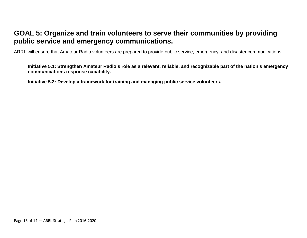# **GOAL 5: Organize and train volunteers to serve their communities by providing public service and emergency communications.**

ARRL will ensure that Amateur Radio volunteers are prepared to provide public service, emergency, and disaster communications.

**Initiative 5.1: Strengthen Amateur Radio's role as a relevant, reliable, and recognizable part of the nation's emergency communications response capability.**

**Initiative 5.2: Develop a framework for training and managing public service volunteers.**